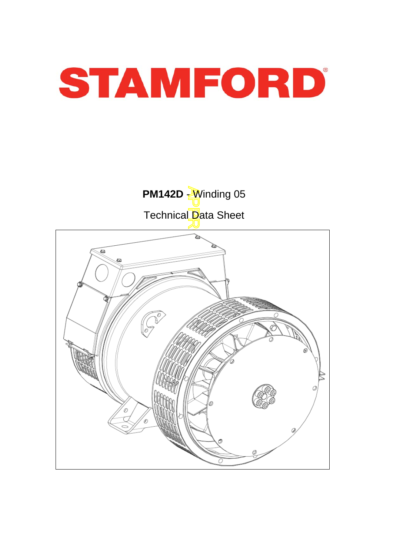

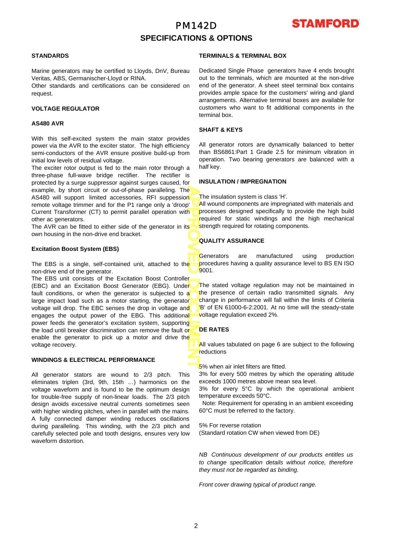## PM142D **SPECIFICATIONS & OPTIONS**



### **STANDARDS**

Marine generators may be certified to Lloyds, DnV, Bureau Veritas, ABS, Germanischer-Lloyd or RINA.

Other standards and certifications can be considered on request.

### **VOLTAGE REGULATOR**

#### **AS480 AVR**

With this self-excited system the main stator provides power via the AVR to the exciter stator. The high efficiency semi-conductors of the AVR ensure positive build-up from initial low levels of residual voltage.

The exciter rotor output is fed to the main rotor through a three-phase full-wave bridge rectifier. The rectifier is protected by a surge suppressor against surges caused, fo r example, by short circuit or out-of-phase paralleling. The AS480 will support limited accessories, RFI suppession remote voltage trimmer and for the P1 range only a 'droop' Current Transformer (CT) to permit parallel operation with other ac generators.

The AVR can be fitted to either side of the generator in its own housing in the non-drive end bracket.

### **Excitation Boost System (EBS)**

The EBS is a single, self-contained unit, attached to the non-drive end of the generator.

APPROVED DOCUMENT The EBS unit consists of the Excitation Boost Controller (EBC) and an Excitation Boost Generator (EBG). Under fault conditions, or when the generator is subjected to a large impact load such as a motor starting, the generator voltage will drop. The EBC senses the drop in voltage and engages the output power of the EBG. This additional power feeds the generator's excitation system, supporting the load until breaker discrimination can remove the fault or enable the generator to pick up a motor and drive the voltage recovery.

### **WINDINGS & ELECTRICAL PERFORMANCE**

All generator stators are wound to 2/3 pitch. This eliminates triplen (3rd, 9th, 15th …) harmonics on the voltage waveform and is found to be the optimum design for trouble-free supply of non-linear loads. The 2/3 pitch design avoids excessive neutral currents sometimes seen with higher winding pitches, when in parallel with the mains. A fully connected damper winding reduces oscillations during paralleling. This winding, with the 2/3 pitch and carefully selected pole and tooth designs, ensures very low waveform distortion.

### **TERMINALS & TERMINAL BOX**

Dedicated Single Phase generators have 4 ends brought out to the terminals, which are mounted at the non-drive end of the generator. A sheet steel terminal box contains provides ample space for the customers' wiring and gland arrangements. Alternative terminal boxes are available fo r customers who want to fit additional components in the terminal box.

### **SHAFT & KEYS**

All generator rotors are dynamically balanced to better than BS6861:Part 1 Grade 2.5 for minimum vibration in operation. Two bearing generators are balanced with a half key.

### **INSULATION / IMPREGNATION**

The insulation system is class 'H'.

All wound components are impregnated with materials and processes designed specifically to provide the high build required for static windings and the high mechanical strength required for rotating components.

### **QUALITY ASSURANCE**

Generators are manufactured using production procedures having a quality assurance level to BS EN ISO 9001.

The stated voltage regulation may not be maintained in the presence of certain radio transmitted signals. Any change in performance will fall within the limits of Criteria B' of EN 61000-6-2:2001. At no time will the steady-state voltage regulation exceed 2%.

### **DE RATES**

All values tabulated on page 6 are subiect to the following reductions

5% when air inlet filters are fitted.

3% for every 500 metres by which the operating altitude exceeds 1000 metres above mean sea level.

3% for every 5°C by which the operational ambient temperature exceeds 50°C.

 Note: Requirement for operating in an ambient exceeding 60°C must be referred to the factory.

5% For reverse rotation (Standard rotation CW when viewed from DE)

*NB Continuous development of our products entitles us to change specification details without notice, therefore they must not be regarded as binding.* 

*Front cover drawing typical of product range.*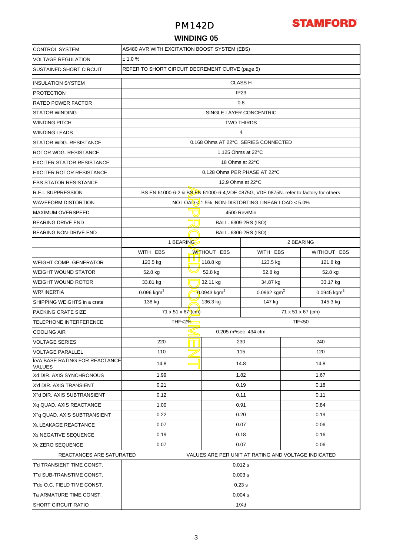### PM142D

# **STAMFORD**

### **WINDING 05**

| <b>CONTROL SYSTEM</b>                                 | AS480 AVR WITH EXCITATION BOOST SYSTEM (EBS)                                         |                                                                   |                                                    |                                                           |                           |             |  |  |  |  |  |
|-------------------------------------------------------|--------------------------------------------------------------------------------------|-------------------------------------------------------------------|----------------------------------------------------|-----------------------------------------------------------|---------------------------|-------------|--|--|--|--|--|
| <b>VOLTAGE REGULATION</b>                             | ± 1.0 %                                                                              |                                                                   |                                                    |                                                           |                           |             |  |  |  |  |  |
| <b>SUSTAINED SHORT CIRCUIT</b>                        |                                                                                      | REFER TO SHORT CIRCUIT DECREMENT CURVE (page 5)<br><b>CLASS H</b> |                                                    |                                                           |                           |             |  |  |  |  |  |
| <b>INSULATION SYSTEM</b>                              |                                                                                      |                                                                   |                                                    |                                                           |                           |             |  |  |  |  |  |
| <b>PROTECTION</b>                                     | IP <sub>23</sub>                                                                     |                                                                   |                                                    |                                                           |                           |             |  |  |  |  |  |
| <b>RATED POWER FACTOR</b>                             |                                                                                      |                                                                   | 0.8                                                |                                                           |                           |             |  |  |  |  |  |
| <b>STATOR WINDING</b>                                 |                                                                                      |                                                                   | SINGLE LAYER CONCENTRIC                            |                                                           |                           |             |  |  |  |  |  |
| <b>WINDING PITCH</b>                                  |                                                                                      | <b>TWO THIRDS</b>                                                 |                                                    |                                                           |                           |             |  |  |  |  |  |
| <b>WINDING LEADS</b>                                  | $\overline{4}$                                                                       |                                                                   |                                                    |                                                           |                           |             |  |  |  |  |  |
| <b>STATOR WDG, RESISTANCE</b>                         | 0.168 Ohms AT 22°C SERIES CONNECTED                                                  |                                                                   |                                                    |                                                           |                           |             |  |  |  |  |  |
| <b>ROTOR WDG. RESISTANCE</b>                          | 1.125 Ohms at 22°C                                                                   |                                                                   |                                                    |                                                           |                           |             |  |  |  |  |  |
| <b>EXCITER STATOR RESISTANCE</b>                      |                                                                                      | 18 Ohms at 22°C                                                   |                                                    |                                                           |                           |             |  |  |  |  |  |
| <b>EXCITER ROTOR RESISTANCE</b>                       |                                                                                      |                                                                   | 0.128 Ohms PER PHASE AT 22°C                       |                                                           |                           |             |  |  |  |  |  |
| <b>EBS STATOR RESISTANCE</b>                          |                                                                                      |                                                                   | 12.9 Ohms at 22°C                                  |                                                           |                           |             |  |  |  |  |  |
| <b>R.F.I. SUPPRESSION</b>                             | BS EN 61000-6-2 & BS EN 61000-6-4, VDE 0875G, VDE 0875N. refer to factory for others |                                                                   |                                                    |                                                           |                           |             |  |  |  |  |  |
| <b>WAVEFORM DISTORTION</b>                            |                                                                                      |                                                                   |                                                    | NO LOAD $\leq 1.5\%$ NON-DISTORTING LINEAR LOAD $< 5.0\%$ |                           |             |  |  |  |  |  |
| <b>MAXIMUM OVERSPEED</b>                              |                                                                                      |                                                                   | 4500 Rev/Min                                       |                                                           |                           |             |  |  |  |  |  |
| <b>BEARING DRIVE END</b>                              |                                                                                      |                                                                   | BALL. 6309-2RS (ISO)                               |                                                           |                           |             |  |  |  |  |  |
| BEARING NON-DRIVE END                                 |                                                                                      |                                                                   | BALL. 6306-2RS (ISO)                               |                                                           |                           |             |  |  |  |  |  |
|                                                       | 1 BEARING                                                                            |                                                                   |                                                    |                                                           | 2 BEARING                 |             |  |  |  |  |  |
|                                                       | WITH EBS                                                                             |                                                                   | <b>WITHOUT EBS</b>                                 | WITH EBS                                                  |                           | WITHOUT EBS |  |  |  |  |  |
| <b>WEIGHT COMP. GENERATOR</b>                         | 120.5 kg                                                                             |                                                                   | 118.8 kg                                           | 123.5 kg                                                  |                           | 121.8 kg    |  |  |  |  |  |
| <b>WEIGHT WOUND STATOR</b>                            | 52.8 kg                                                                              |                                                                   | 52.8 kg                                            | 52.8 kg                                                   |                           | 52.8 kg     |  |  |  |  |  |
| <b>WEIGHT WOUND ROTOR</b>                             | 33.81 kg                                                                             |                                                                   | 32.11 kg                                           | 34.87 kg                                                  |                           | 33.17 kg    |  |  |  |  |  |
| WR <sup>2</sup> INERTIA                               | 0.096 kgm <sup>2</sup>                                                               |                                                                   | 0.0943 kgm <sup>2</sup><br>0.0962 kgm <sup>2</sup> |                                                           | $0.0945$ kgm <sup>2</sup> |             |  |  |  |  |  |
| SHIPPING WEIGHTS in a crate                           | 138 kg                                                                               |                                                                   | 136.3 kg                                           | 147 kg                                                    |                           | 145.3 kg    |  |  |  |  |  |
| <b>PACKING CRATE SIZE</b>                             | 71 x 51 x 67 (cm)<br>$71 \times 51 \times 67$ (cm)                                   |                                                                   |                                                    |                                                           |                           |             |  |  |  |  |  |
| TELEPHONE INTERFERENCE                                | THF < 2%                                                                             | <b>TIF&lt;50</b>                                                  |                                                    |                                                           |                           |             |  |  |  |  |  |
| <b>COOLING AIR</b>                                    | 0.205 m <sup>3</sup> /sec 434 cfm                                                    |                                                                   |                                                    |                                                           |                           |             |  |  |  |  |  |
| <b>VOLTAGE SERIES</b>                                 | 220                                                                                  |                                                                   | 230                                                |                                                           | 240                       |             |  |  |  |  |  |
| <b>VOLTAGE PARALLEL</b>                               | 110                                                                                  |                                                                   | 115                                                |                                                           | 120                       |             |  |  |  |  |  |
| <b>KVA BASE RATING FOR REACTANCE</b><br><b>VALUES</b> | 14.8                                                                                 |                                                                   | 14.8                                               |                                                           | 14.8                      |             |  |  |  |  |  |
| Xd DIR. AXIS SYNCHRONOUS                              | 1.99                                                                                 |                                                                   | 1.82                                               |                                                           | 1.67                      |             |  |  |  |  |  |
| X'd DIR. AXIS TRANSIENT                               | 0.21                                                                                 |                                                                   | 0.19                                               |                                                           | 0.18                      |             |  |  |  |  |  |
| X"d DIR. AXIS SUBTRANSIENT                            | 0.12                                                                                 |                                                                   | 0.11                                               |                                                           | 0.11                      |             |  |  |  |  |  |
| Xq QUAD. AXIS REACTANCE                               | 1.00                                                                                 |                                                                   | 0.91                                               |                                                           | 0.84                      |             |  |  |  |  |  |
| X"q QUAD. AXIS SUBTRANSIENT                           | 0.22                                                                                 |                                                                   | 0.20                                               |                                                           | 0.19                      |             |  |  |  |  |  |
| XL LEAKAGE REACTANCE                                  | 0.07                                                                                 |                                                                   | 0.07                                               |                                                           | 0.06                      |             |  |  |  |  |  |
| X <sub>2</sub> NEGATIVE SEQUENCE                      | 0.19                                                                                 |                                                                   | 0.18                                               |                                                           | 0.16                      |             |  |  |  |  |  |
| X <sub>0</sub> ZERO SEQUENCE                          | 0.07<br>0.07<br>0.06                                                                 |                                                                   |                                                    |                                                           |                           |             |  |  |  |  |  |
|                                                       | REACTANCES ARE SATURATED<br>VALUES ARE PER UNIT AT RATING AND VOLTAGE INDICATED      |                                                                   |                                                    |                                                           |                           |             |  |  |  |  |  |
| T'd TRANSIENT TIME CONST.<br>0.012 s                  |                                                                                      |                                                                   |                                                    |                                                           |                           |             |  |  |  |  |  |
| T"d SUB-TRANSTIME CONST.                              | 0.003 s                                                                              |                                                                   |                                                    |                                                           |                           |             |  |  |  |  |  |
| T'do O.C. FIELD TIME CONST.                           | 0.23s                                                                                |                                                                   |                                                    |                                                           |                           |             |  |  |  |  |  |
| Ta ARMATURE TIME CONST.                               | 0.004 s                                                                              |                                                                   |                                                    |                                                           |                           |             |  |  |  |  |  |
| <b>SHORT CIRCUIT RATIO</b>                            |                                                                                      |                                                                   | 1/Xd                                               |                                                           |                           |             |  |  |  |  |  |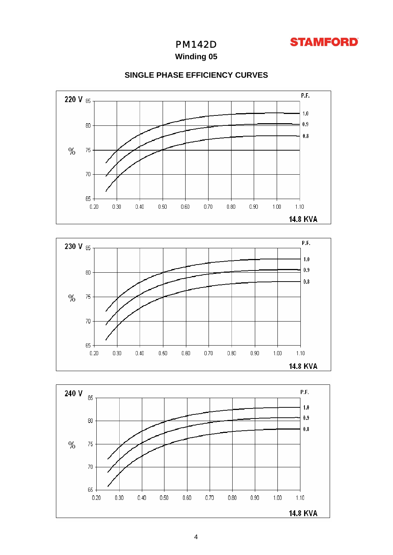

PM142D

**Winding 05**



### **SINGLE PHASE EFFICIENCY CURVES**



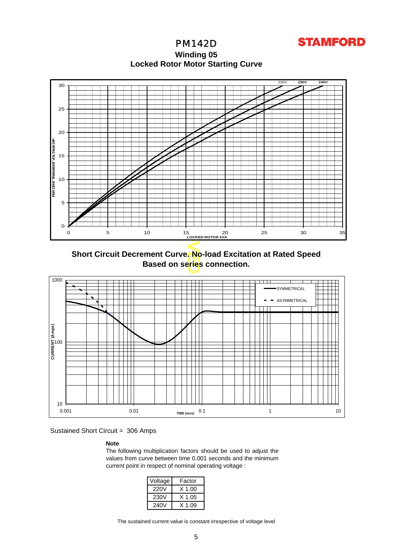

**Locked Rotor Motor Startin g Curve** PM142D **Winding 05**



**Short Circuit Decrement Curve. No-load Excitation at Rated Speed Based on series connection.**



Sustained Short Circuit = 306 Amps

### **Note**

The following multiplication factors should be used to adjust the values from curve between time 0.001 seconds and the minimum current point in respect of nominal operating voltage :

| Voltage | Factor   |
|---------|----------|
| 220V    | $X$ 1.00 |
| 230V    | X 1.05   |
| 240V    | X 1.09   |

The sustained current value is constant irrespective of voltage level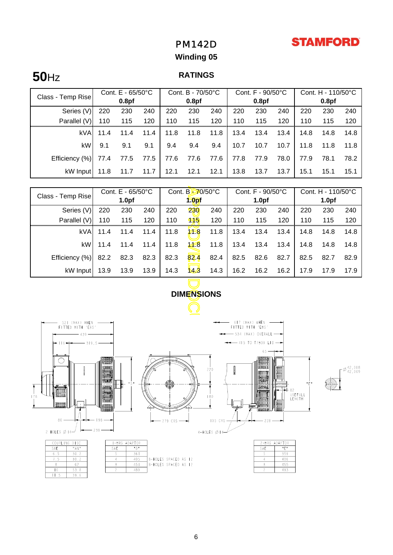# **STAMFORD**

# PM142D

## **Winding 05**

# **50**Hz

### **RATINGS**

| Class - Temp Rise | Cont. $E - 65/50^{\circ}C$ |                   |      | Cont. B - 70/50°C |                   |      | Cont. $F - 90/50^{\circ}C$ |                   |      | Cont. $H - 110/50^{\circ}C$ |                   |      |
|-------------------|----------------------------|-------------------|------|-------------------|-------------------|------|----------------------------|-------------------|------|-----------------------------|-------------------|------|
|                   |                            | 0.8 <sub>pf</sub> |      |                   | 0.8 <sub>pf</sub> |      |                            | 0.8 <sub>pf</sub> |      |                             | 0.8 <sub>pf</sub> |      |
| Series (V)        | 220                        | 230               | 240  | 220               | 230               | 240  | 220                        | 230               | 240  | 220                         | 230               | 240  |
| Parallel (V)      | 110                        | 115               | 120  | 110               | 115               | 120  | 110                        | 115               | 120  | 110                         | 115               | 120  |
| kVA               | 11.4                       | 11.4              | 11.4 | 11.8              | 11.8              | 11.8 | 13.4                       | 13.4              | 13.4 | 14.8                        | 14.8              | 14.8 |
| kW                | 9.1                        | 9.1               | 9.1  | 9.4               | 9.4               | 9.4  | 10.7                       | 10.7              | 10.7 | 11.8                        | 11.8              | 11.8 |
| Efficiency (%)    | 77.4                       | 77.5              | 77.5 | 77.6              | 77.6              | 77.6 | 77.8                       | 77.9              | 78.0 | 77.9                        | 78.1              | 78.2 |
| kW Input          | 11.8                       | 11.7              | 11.7 | 12.1              | 12.1              | 12.1 | 13.8                       | 13.7              | 13.7 | 15.1                        | 15.1              | 15.1 |

| Class - Temp Rise                                                                                                                                                                                                                               | Cont. E - 65/50°C<br>1.0 <sub>pf</sub> |      | Cont. B-70/50°C |      |                   | Cont. F - 90/50°C<br>1.0 <sub>pf</sub> |      |      | Cont. H - 110/50°C<br>1.0 <sub>pf</sub> |      |                  |      |
|-------------------------------------------------------------------------------------------------------------------------------------------------------------------------------------------------------------------------------------------------|----------------------------------------|------|-----------------|------|-------------------|----------------------------------------|------|------|-----------------------------------------|------|------------------|------|
|                                                                                                                                                                                                                                                 |                                        |      |                 |      | 1.0 <sub>pf</sub> |                                        |      |      |                                         |      |                  |      |
| Series (V)                                                                                                                                                                                                                                      | 220                                    | 230  | 240             | 220  | 230               | 240                                    | 220  | 230  | 240                                     | 220  | 230              | 240  |
| Parallel (V)                                                                                                                                                                                                                                    | 110                                    | 115  | 120             | 110  | 115               | 120                                    | 110  | 115  | 120                                     | 110  | 115              | 120  |
| <b>kVA</b>                                                                                                                                                                                                                                      | 11.4                                   | 11.4 | 11.4            | 11.8 | 118               | 11.8                                   | 13.4 | 13.4 | 13.4                                    | 14.8 | 14.8             | 14.8 |
| kW                                                                                                                                                                                                                                              | 11.4                                   | 11.4 | 11.4            | 11.8 | 14.8              | 11.8                                   | 13.4 | 13.4 | 13.4                                    | 14.8 | 14.8             | 14.8 |
| Efficiency (%)                                                                                                                                                                                                                                  | 82.2                                   | 82.3 | 82.3            | 82.3 | 82.4              | 82.4                                   | 82.5 | 82.6 | 82.7                                    | 82.5 | 82.7             | 82.9 |
| kW Input                                                                                                                                                                                                                                        | 13.9                                   | 13.9 | 13.9            | 14.3 | 14.3              | 14.3                                   | 16.2 | 16.2 | 16.2                                    | 17.9 | 17.9             | 17.9 |
| <b>DIMENSIONS</b>                                                                                                                                                                                                                               |                                        |      |                 |      |                   |                                        |      |      |                                         |      |                  |      |
| (MAX) WHEN<br>WHEN<br>521<br>(MAY)<br>FITTED WITH 'EBS'<br>FITTED WITH<br>rebs:<br>— 534 (MAX) OVERALL —— <del>— —</del><br>$-415$ TO T/BOX LID $-$<br>$-116+$<br>319.5<br>$65 -$<br>III GBBBBO III III GAAATI<br>베<br><b>Ill Aggesson</b><br>п |                                        |      |                 |      |                   |                                        |      |      |                                         |      | $\approx 42.018$ |      |